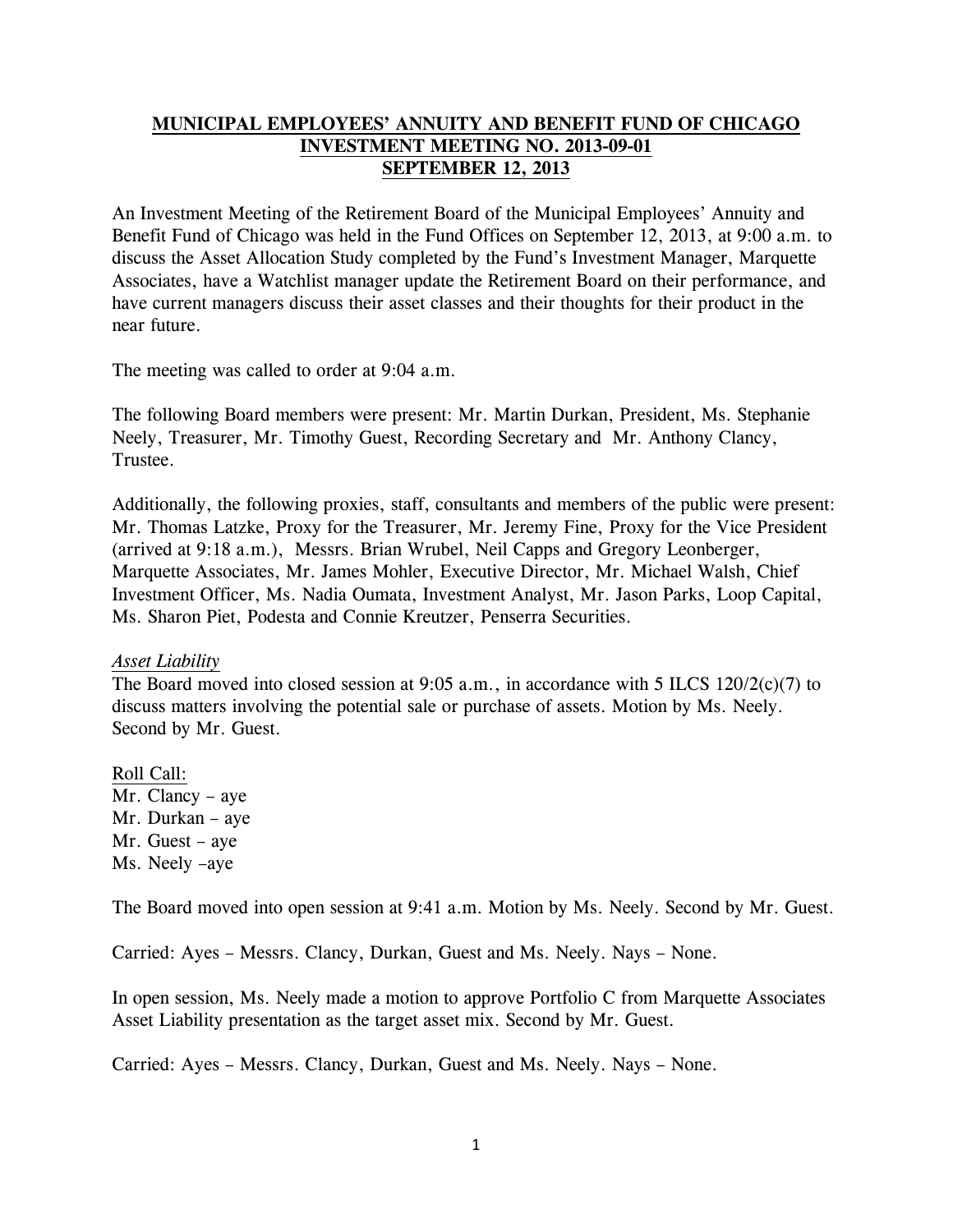# **MUNICIPAL EMPLOYEES' ANNUITY AND BENEFIT FUND OF CHICAGO INVESTMENT MEETING NO. 2013-09-01 SEPTEMBER 12, 2013**

An Investment Meeting of the Retirement Board of the Municipal Employees' Annuity and Benefit Fund of Chicago was held in the Fund Offices on September 12, 2013, at 9:00 a.m. to discuss the Asset Allocation Study completed by the Fund's Investment Manager, Marquette Associates, have a Watchlist manager update the Retirement Board on their performance, and have current managers discuss their asset classes and their thoughts for their product in the near future.

The meeting was called to order at 9:04 a.m.

The following Board members were present: Mr. Martin Durkan, President, Ms. Stephanie Neely, Treasurer, Mr. Timothy Guest, Recording Secretary and Mr. Anthony Clancy, Trustee.

Additionally, the following proxies, staff, consultants and members of the public were present: Mr. Thomas Latzke, Proxy for the Treasurer, Mr. Jeremy Fine, Proxy for the Vice President (arrived at 9:18 a.m.), Messrs. Brian Wrubel, Neil Capps and Gregory Leonberger, Marquette Associates, Mr. James Mohler, Executive Director, Mr. Michael Walsh, Chief Investment Officer, Ms. Nadia Oumata, Investment Analyst, Mr. Jason Parks, Loop Capital, Ms. Sharon Piet, Podesta and Connie Kreutzer, Penserra Securities.

### *Asset Liability*

The Board moved into closed session at 9:05 a.m., in accordance with 5 ILCS 120/2(c)(7) to discuss matters involving the potential sale or purchase of assets. Motion by Ms. Neely. Second by Mr. Guest.

Roll Call: Mr. Clancy – aye Mr. Durkan – aye Mr. Guest – aye Ms. Neely –aye

The Board moved into open session at 9:41 a.m. Motion by Ms. Neely. Second by Mr. Guest.

Carried: Ayes – Messrs. Clancy, Durkan, Guest and Ms. Neely. Nays – None.

In open session, Ms. Neely made a motion to approve Portfolio C from Marquette Associates Asset Liability presentation as the target asset mix. Second by Mr. Guest.

Carried: Ayes – Messrs. Clancy, Durkan, Guest and Ms. Neely. Nays – None.